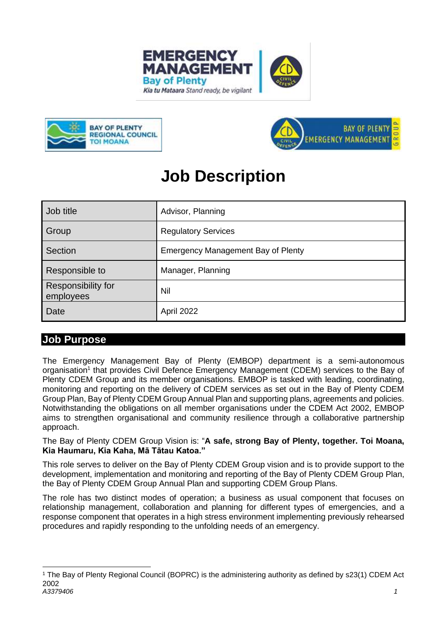





# **Job Description**

| Job title                       | Advisor, Planning                  |
|---------------------------------|------------------------------------|
| Group                           | <b>Regulatory Services</b>         |
| Section                         | Emergency Management Bay of Plenty |
| Responsible to                  | Manager, Planning                  |
| Responsibility for<br>employees | Nil                                |
| Date                            | April 2022                         |

# **Job Purpose**

The Emergency Management Bay of Plenty (EMBOP) department is a semi-autonomous organisation<sup>1</sup> that provides Civil Defence Emergency Management (CDEM) services to the Bay of Plenty CDEM Group and its member organisations. EMBOP is tasked with leading, coordinating, monitoring and reporting on the delivery of CDEM services as set out in the Bay of Plenty CDEM Group Plan, Bay of Plenty CDEM Group Annual Plan and supporting plans, agreements and policies. Notwithstanding the obligations on all member organisations under the CDEM Act 2002, EMBOP aims to strengthen organisational and community resilience through a collaborative partnership approach.

The Bay of Plenty CDEM Group Vision is: "**A safe, strong Bay of Plenty, together. Toi Moana, Kia Haumaru, Kia Kaha, Mā Tātau Katoa."**

This role serves to deliver on the Bay of Plenty CDEM Group vision and is to provide support to the development, implementation and monitoring and reporting of the Bay of Plenty CDEM Group Plan, the Bay of Plenty CDEM Group Annual Plan and supporting CDEM Group Plans.

The role has two distinct modes of operation; a business as usual component that focuses on relationship management, collaboration and planning for different types of emergencies, and a response component that operates in a high stress environment implementing previously rehearsed procedures and rapidly responding to the unfolding needs of an emergency.

*A3379406 1* <sup>1</sup> The Bay of Plenty Regional Council (BOPRC) is the administering authority as defined by s23(1) CDEM Act 2002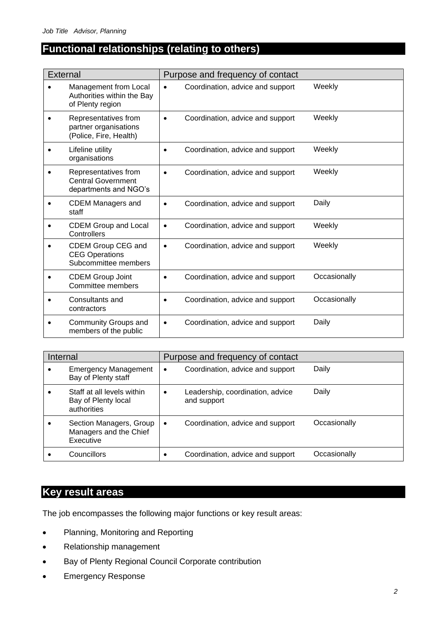# **Functional relationships (relating to others)**

| <b>External</b> |                                                                            | Purpose and frequency of contact |                                  |              |
|-----------------|----------------------------------------------------------------------------|----------------------------------|----------------------------------|--------------|
|                 | Management from Local<br>Authorities within the Bay<br>of Plenty region    | $\bullet$                        | Coordination, advice and support | Weekly       |
|                 | Representatives from<br>partner organisations<br>(Police, Fire, Health)    | $\bullet$                        | Coordination, advice and support | Weekly       |
|                 | Lifeline utility<br>organisations                                          | $\bullet$                        | Coordination, advice and support | Weekly       |
|                 | Representatives from<br><b>Central Government</b><br>departments and NGO's |                                  | Coordination, advice and support | Weekly       |
|                 | <b>CDEM Managers and</b><br>staff                                          |                                  | Coordination, advice and support | Daily        |
|                 | <b>CDEM Group and Local</b><br>Controllers                                 | $\bullet$                        | Coordination, advice and support | Weekly       |
|                 | CDEM Group CEG and<br><b>CEG Operations</b><br>Subcommittee members        | $\bullet$                        | Coordination, advice and support | Weekly       |
|                 | <b>CDEM Group Joint</b><br>Committee members                               |                                  | Coordination, advice and support | Occasionally |
|                 | Consultants and<br>contractors                                             |                                  | Coordination, advice and support | Occasionally |
|                 | Community Groups and<br>members of the public                              | $\bullet$                        | Coordination, advice and support | Daily        |

| Internal |                                                                  | Purpose and frequency of contact |                                                 |              |
|----------|------------------------------------------------------------------|----------------------------------|-------------------------------------------------|--------------|
|          | <b>Emergency Management</b><br>Bay of Plenty staff               | ٠                                | Coordination, advice and support                | Daily        |
|          | Staff at all levels within<br>Bay of Plenty local<br>authorities | $\bullet$                        | Leadership, coordination, advice<br>and support | Daily        |
|          | Section Managers, Group<br>Managers and the Chief<br>Executive   | $\bullet$                        | Coordination, advice and support                | Occasionally |
|          | Councillors                                                      |                                  | Coordination, advice and support                | Occasionally |

# **Key result areas**

The job encompasses the following major functions or key result areas:

- Planning, Monitoring and Reporting
- Relationship management
- Bay of Plenty Regional Council Corporate contribution
- Emergency Response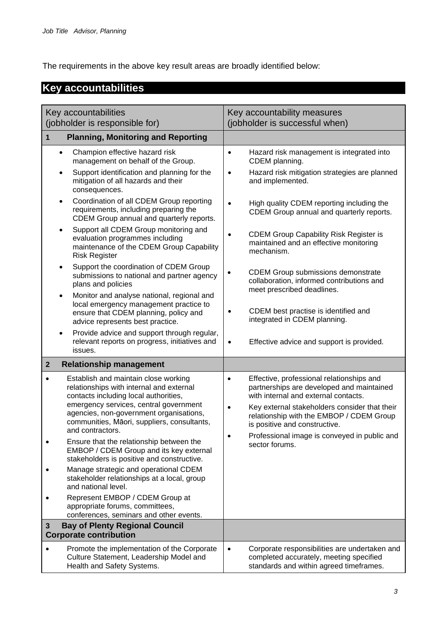The requirements in the above key result areas are broadly identified below:

# **Key accountabilities**

| Key accountabilities                                                                                                                                                                                                                                                                                                                       | Key accountability measures                                                                                                                                                                                                                                                                                                                      |
|--------------------------------------------------------------------------------------------------------------------------------------------------------------------------------------------------------------------------------------------------------------------------------------------------------------------------------------------|--------------------------------------------------------------------------------------------------------------------------------------------------------------------------------------------------------------------------------------------------------------------------------------------------------------------------------------------------|
| (jobholder is responsible for)                                                                                                                                                                                                                                                                                                             | (jobholder is successful when)                                                                                                                                                                                                                                                                                                                   |
| <b>Planning, Monitoring and Reporting</b><br>1                                                                                                                                                                                                                                                                                             |                                                                                                                                                                                                                                                                                                                                                  |
| Champion effective hazard risk<br>$\bullet$<br>management on behalf of the Group.                                                                                                                                                                                                                                                          | Hazard risk management is integrated into<br>$\bullet$<br>CDEM planning.                                                                                                                                                                                                                                                                         |
| Support identification and planning for the<br>mitigation of all hazards and their<br>consequences.                                                                                                                                                                                                                                        | Hazard risk mitigation strategies are planned<br>٠<br>and implemented.                                                                                                                                                                                                                                                                           |
| Coordination of all CDEM Group reporting<br>٠<br>requirements, including preparing the<br>CDEM Group annual and quarterly reports.                                                                                                                                                                                                         | High quality CDEM reporting including the<br>CDEM Group annual and quarterly reports.                                                                                                                                                                                                                                                            |
| Support all CDEM Group monitoring and<br>$\bullet$<br>evaluation programmes including<br>maintenance of the CDEM Group Capability<br><b>Risk Register</b>                                                                                                                                                                                  | <b>CDEM Group Capability Risk Register is</b><br>$\bullet$<br>maintained and an effective monitoring<br>mechanism.                                                                                                                                                                                                                               |
| Support the coordination of CDEM Group<br>$\bullet$<br>submissions to national and partner agency<br>plans and policies<br>Monitor and analyse national, regional and<br>$\bullet$                                                                                                                                                         | <b>CDEM Group submissions demonstrate</b><br>collaboration, informed contributions and<br>meet prescribed deadlines.                                                                                                                                                                                                                             |
| local emergency management practice to<br>ensure that CDEM planning, policy and<br>advice represents best practice.                                                                                                                                                                                                                        | CDEM best practise is identified and<br>integrated in CDEM planning.                                                                                                                                                                                                                                                                             |
| Provide advice and support through regular,<br>$\bullet$<br>relevant reports on progress, initiatives and<br>issues.                                                                                                                                                                                                                       | Effective advice and support is provided.<br>$\bullet$                                                                                                                                                                                                                                                                                           |
| <b>Relationship management</b><br>$\mathbf{2}$                                                                                                                                                                                                                                                                                             |                                                                                                                                                                                                                                                                                                                                                  |
| Establish and maintain close working<br>$\bullet$<br>relationships with internal and external<br>contacts including local authorities,<br>emergency services, central government<br>agencies, non-government organisations,<br>communities, Māori, suppliers, consultants,<br>and contractors.<br>Ensure that the relationship between the | Effective, professional relationships and<br>$\bullet$<br>partnerships are developed and maintained<br>with internal and external contacts.<br>Key external stakeholders consider that their<br>۰<br>relationship with the EMBOP / CDEM Group<br>is positive and constructive.<br>Professional image is conveyed in public and<br>sector forums. |
| EMBOP / CDEM Group and its key external<br>stakeholders is positive and constructive.<br>Manage strategic and operational CDEM<br>stakeholder relationships at a local, group<br>and national level.                                                                                                                                       |                                                                                                                                                                                                                                                                                                                                                  |
| Represent EMBOP / CDEM Group at<br>appropriate forums, committees,<br>conferences, seminars and other events.                                                                                                                                                                                                                              |                                                                                                                                                                                                                                                                                                                                                  |
| <b>Bay of Plenty Regional Council</b><br>3<br><b>Corporate contribution</b>                                                                                                                                                                                                                                                                |                                                                                                                                                                                                                                                                                                                                                  |
| Promote the implementation of the Corporate<br>Culture Statement, Leadership Model and<br>Health and Safety Systems.                                                                                                                                                                                                                       | Corporate responsibilities are undertaken and<br>$\bullet$<br>completed accurately, meeting specified<br>standards and within agreed timeframes.                                                                                                                                                                                                 |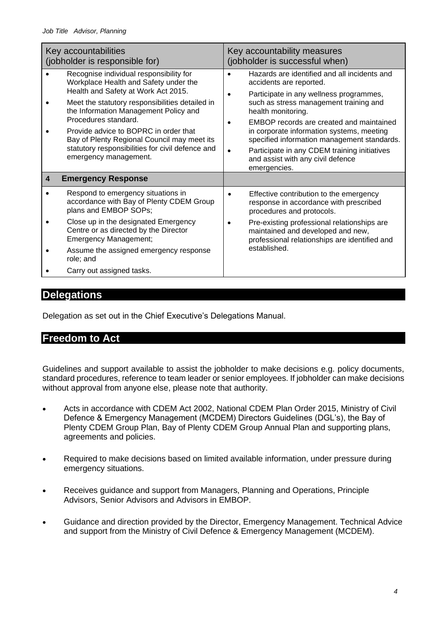|   | Key accountabilities<br>(jobholder is responsible for)                                                                                                                                                                                                                                                                                                                                                           | Key accountability measures<br>(jobholder is successful when)                                                                                                                                                                                                                                                                                                                                                                                     |
|---|------------------------------------------------------------------------------------------------------------------------------------------------------------------------------------------------------------------------------------------------------------------------------------------------------------------------------------------------------------------------------------------------------------------|---------------------------------------------------------------------------------------------------------------------------------------------------------------------------------------------------------------------------------------------------------------------------------------------------------------------------------------------------------------------------------------------------------------------------------------------------|
|   | Recognise individual responsibility for<br>Workplace Health and Safety under the<br>Health and Safety at Work Act 2015.<br>Meet the statutory responsibilities detailed in<br>the Information Management Policy and<br>Procedures standard.<br>Provide advice to BOPRC in order that<br>Bay of Plenty Regional Council may meet its<br>statutory responsibilities for civil defence and<br>emergency management. | Hazards are identified and all incidents and<br>accidents are reported.<br>Participate in any wellness programmes,<br>٠<br>such as stress management training and<br>health monitoring.<br>EMBOP records are created and maintained<br>in corporate information systems, meeting<br>specified information management standards.<br>Participate in any CDEM training initiatives<br>$\bullet$<br>and assist with any civil defence<br>emergencies. |
| 4 | <b>Emergency Response</b>                                                                                                                                                                                                                                                                                                                                                                                        |                                                                                                                                                                                                                                                                                                                                                                                                                                                   |
|   | Respond to emergency situations in<br>accordance with Bay of Plenty CDEM Group<br>plans and EMBOP SOPs;                                                                                                                                                                                                                                                                                                          | Effective contribution to the emergency<br>response in accordance with prescribed<br>procedures and protocols.                                                                                                                                                                                                                                                                                                                                    |
|   | Close up in the designated Emergency<br>Centre or as directed by the Director<br><b>Emergency Management;</b>                                                                                                                                                                                                                                                                                                    | Pre-existing professional relationships are<br>maintained and developed and new,<br>professional relationships are identified and                                                                                                                                                                                                                                                                                                                 |
|   | Assume the assigned emergency response<br>role; and                                                                                                                                                                                                                                                                                                                                                              | established.                                                                                                                                                                                                                                                                                                                                                                                                                                      |
|   | Carry out assigned tasks.                                                                                                                                                                                                                                                                                                                                                                                        |                                                                                                                                                                                                                                                                                                                                                                                                                                                   |

## **Delegations**

Delegation as set out in the Chief Executive's Delegations Manual.

# **Freedom to Act**

Guidelines and support available to assist the jobholder to make decisions e.g. policy documents, standard procedures, reference to team leader or senior employees. If jobholder can make decisions without approval from anyone else, please note that authority.

- Acts in accordance with CDEM Act 2002, National CDEM Plan Order 2015, Ministry of Civil Defence & Emergency Management (MCDEM) Directors Guidelines (DGL's), the Bay of Plenty CDEM Group Plan, Bay of Plenty CDEM Group Annual Plan and supporting plans, agreements and policies.
- Required to make decisions based on limited available information, under pressure during emergency situations.
- Receives guidance and support from Managers, Planning and Operations, Principle Advisors, Senior Advisors and Advisors in EMBOP.
- Guidance and direction provided by the Director, Emergency Management. Technical Advice and support from the Ministry of Civil Defence & Emergency Management (MCDEM).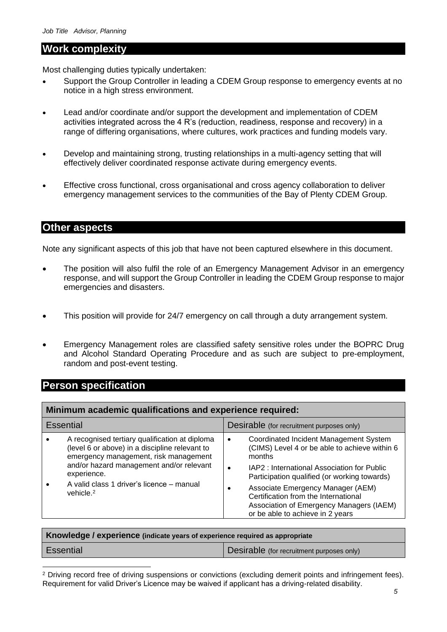#### **Work complexity**

Most challenging duties typically undertaken:

- Support the Group Controller in leading a CDEM Group response to emergency events at no notice in a high stress environment.
- Lead and/or coordinate and/or support the development and implementation of CDEM activities integrated across the 4 R's (reduction, readiness, response and recovery) in a range of differing organisations, where cultures, work practices and funding models vary.
- Develop and maintaining strong, trusting relationships in a multi-agency setting that will effectively deliver coordinated response activate during emergency events.
- Effective cross functional, cross organisational and cross agency collaboration to deliver emergency management services to the communities of the Bay of Plenty CDEM Group.

#### **Other aspects**

Note any significant aspects of this job that have not been captured elsewhere in this document.

- The position will also fulfil the role of an Emergency Management Advisor in an emergency response, and will support the Group Controller in leading the CDEM Group response to major emergencies and disasters.
- This position will provide for 24/7 emergency on call through a duty arrangement system.
- Emergency Management roles are classified safety sensitive roles under the BOPRC Drug and Alcohol Standard Operating Procedure and as such are subject to pre-employment, random and post-event testing.

### **Person specification**

| Minimum academic qualifications and experience required: |                                                                                                                                                                                                      |                                                                                                                                                                                                              |  |
|----------------------------------------------------------|------------------------------------------------------------------------------------------------------------------------------------------------------------------------------------------------------|--------------------------------------------------------------------------------------------------------------------------------------------------------------------------------------------------------------|--|
| <b>Essential</b>                                         |                                                                                                                                                                                                      | Desirable (for recruitment purposes only)                                                                                                                                                                    |  |
|                                                          | A recognised tertiary qualification at diploma<br>(level 6 or above) in a discipline relevant to<br>emergency management, risk management<br>and/or hazard management and/or relevant<br>experience. | Coordinated Incident Management System<br>$\bullet$<br>(CIMS) Level 4 or be able to achieve within 6<br>months<br>IAP2: International Association for Public<br>Participation qualified (or working towards) |  |
|                                                          | A valid class 1 driver's licence – manual<br>vehicle. <sup>2</sup>                                                                                                                                   | Associate Emergency Manager (AEM)<br>٠<br>Certification from the International<br>Association of Emergency Managers (IAEM)<br>or be able to achieve in 2 years                                               |  |

| Knowledge / experience (indicate years of experience required as appropriate |                                           |  |
|------------------------------------------------------------------------------|-------------------------------------------|--|
| <b>Essential</b>                                                             | Desirable (for recruitment purposes only) |  |

<sup>2</sup> Driving record free of driving suspensions or convictions (excluding demerit points and infringement fees). Requirement for valid Driver's Licence may be waived if applicant has a driving-related disability.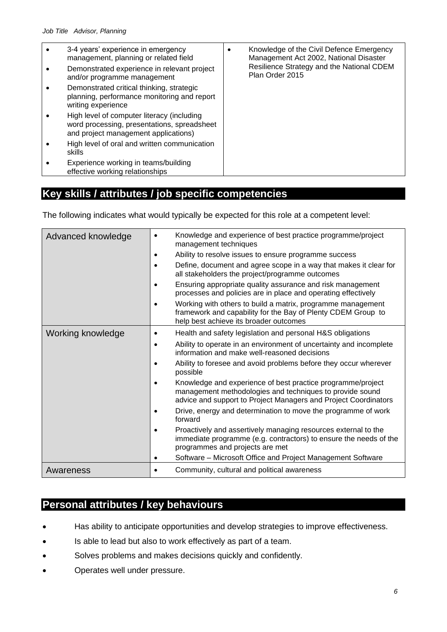| 3-4 years' experience in emergency<br>management, planning or related field<br>Demonstrated experience in relevant project<br>and/or programme management | Knowledge of the Civil Defence Emergency<br>Management Act 2002, National Disaster<br>Resilience Strategy and the National CDEM<br>Plan Order 2015 |
|-----------------------------------------------------------------------------------------------------------------------------------------------------------|----------------------------------------------------------------------------------------------------------------------------------------------------|
| Demonstrated critical thinking, strategic<br>planning, performance monitoring and report<br>writing experience                                            |                                                                                                                                                    |
| High level of computer literacy (including<br>word processing, presentations, spreadsheet<br>and project management applications)                         |                                                                                                                                                    |
| High level of oral and written communication<br>skills                                                                                                    |                                                                                                                                                    |
| Experience working in teams/building<br>effective working relationships                                                                                   |                                                                                                                                                    |

# **Key skills / attributes / job specific competencies**

The following indicates what would typically be expected for this role at a competent level:

| Advanced knowledge | Knowledge and experience of best practice programme/project<br>management techniques                                                                                                       |
|--------------------|--------------------------------------------------------------------------------------------------------------------------------------------------------------------------------------------|
|                    | Ability to resolve issues to ensure programme success                                                                                                                                      |
|                    | Define, document and agree scope in a way that makes it clear for<br>all stakeholders the project/programme outcomes                                                                       |
|                    | Ensuring appropriate quality assurance and risk management<br>processes and policies are in place and operating effectively                                                                |
|                    | Working with others to build a matrix, programme management<br>framework and capability for the Bay of Plenty CDEM Group to<br>help best achieve its broader outcomes                      |
| Working knowledge  | Health and safety legislation and personal H&S obligations<br>$\bullet$                                                                                                                    |
|                    | Ability to operate in an environment of uncertainty and incomplete<br>$\bullet$<br>information and make well-reasoned decisions                                                            |
|                    | Ability to foresee and avoid problems before they occur wherever<br>possible                                                                                                               |
|                    | Knowledge and experience of best practice programme/project<br>management methodologies and techniques to provide sound<br>advice and support to Project Managers and Project Coordinators |
|                    | Drive, energy and determination to move the programme of work<br>forward                                                                                                                   |
|                    | Proactively and assertively managing resources external to the<br>immediate programme (e.g. contractors) to ensure the needs of the<br>programmes and projects are met                     |
|                    | Software - Microsoft Office and Project Management Software                                                                                                                                |
| Awareness          | Community, cultural and political awareness                                                                                                                                                |

## **Personal attributes / key behaviours**

- Has ability to anticipate opportunities and develop strategies to improve effectiveness.
- Is able to lead but also to work effectively as part of a team.
- Solves problems and makes decisions quickly and confidently.
- Operates well under pressure.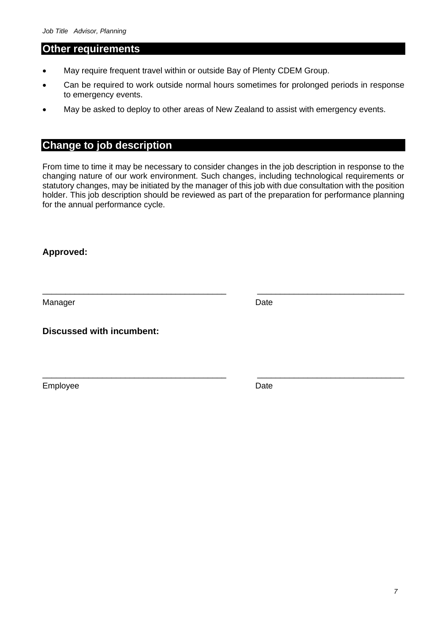#### **Other requirements**

- May require frequent travel within or outside Bay of Plenty CDEM Group.
- Can be required to work outside normal hours sometimes for prolonged periods in response to emergency events.
- May be asked to deploy to other areas of New Zealand to assist with emergency events.

# **Change to job description**

From time to time it may be necessary to consider changes in the job description in response to the changing nature of our work environment. Such changes, including technological requirements or statutory changes, may be initiated by the manager of this job with due consultation with the position holder. This job description should be reviewed as part of the preparation for performance planning for the annual performance cycle.

\_\_\_\_\_\_\_\_\_\_\_\_\_\_\_\_\_\_\_\_\_\_\_\_\_\_\_\_\_\_\_\_\_\_\_\_\_\_\_\_ \_\_\_\_\_\_\_\_\_\_\_\_\_\_\_\_\_\_\_\_\_\_\_\_\_\_\_\_\_\_\_\_

\_\_\_\_\_\_\_\_\_\_\_\_\_\_\_\_\_\_\_\_\_\_\_\_\_\_\_\_\_\_\_\_\_\_\_\_\_\_\_\_ \_\_\_\_\_\_\_\_\_\_\_\_\_\_\_\_\_\_\_\_\_\_\_\_\_\_\_\_\_\_\_\_

#### **Approved:**

Manager **Date** 

**Discussed with incumbent:**

Employee Date